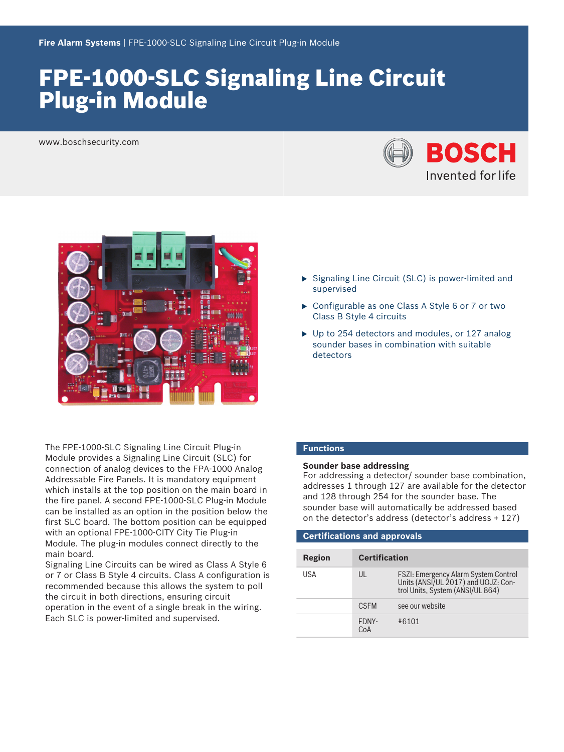# FPE‑1000‑SLC Signaling Line Circuit Plug‑in Module

www.boschsecurity.com





The FPE-1000-SLC Signaling Line Circuit Plug-in Module provides a Signaling Line Circuit (SLC) for connection of analog devices to the FPA‑1000 Analog Addressable Fire Panels. It is mandatory equipment which installs at the top position on the main board in the fire panel. A second FPE-1000-SLC Plug-in Module can be installed as an option in the position below the first SLC board. The bottom position can be equipped with an optional FPE-1000-CITY City Tie Plug-in Module. The plug‑in modules connect directly to the main board.

Signaling Line Circuits can be wired as Class A Style 6 or 7 or Class B Style 4 circuits. Class A configuration is recommended because this allows the system to poll the circuit in both directions, ensuring circuit operation in the event of a single break in the wiring. Each SLC is power-limited and supervised.

- $\triangleright$  Signaling Line Circuit (SLC) is power-limited and supervised
- $\triangleright$  Configurable as one Class A Style 6 or 7 or two Class B Style 4 circuits
- $\triangleright$  Up to 254 detectors and modules, or 127 analog sounder bases in combination with suitable detectors

## **Functions**

# **Sounder base addressing**

For addressing a detector/ sounder base combination, addresses 1 through 127 are available for the detector and 128 through 254 for the sounder base. The sounder base will automatically be addressed based on the detector's address (detector's address + 127)

| <b>Certifications and approvals</b> |                      |                                                                                                                 |  |
|-------------------------------------|----------------------|-----------------------------------------------------------------------------------------------------------------|--|
|                                     |                      |                                                                                                                 |  |
| Region                              | <b>Certification</b> |                                                                                                                 |  |
| USA                                 | UL                   | FSZI: Emergency Alarm System Control<br>Units (ANSI/UL 2017) and UOJZ: Con-<br>trol Units, System (ANSI/UL 864) |  |
|                                     | <b>CSFM</b>          | see our website                                                                                                 |  |
|                                     | FDNY-<br>CoA         | #6101                                                                                                           |  |